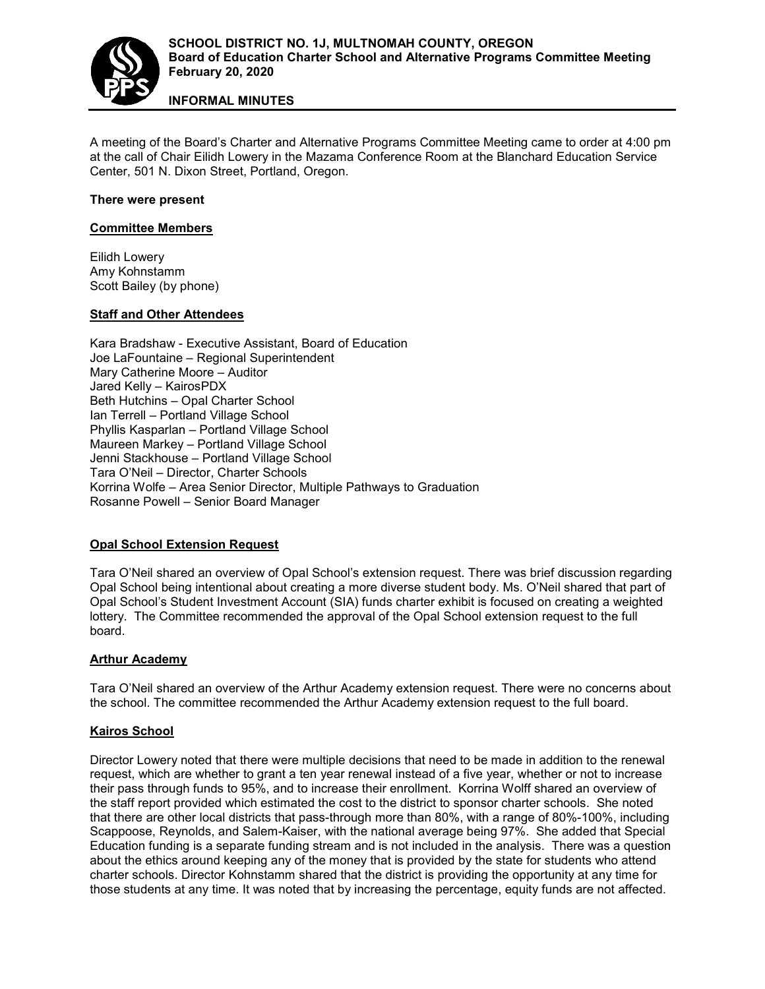

**INFORMAL MINUTES**

A meeting of the Board's Charter and Alternative Programs Committee Meeting came to order at 4:00 pm at the call of Chair Eilidh Lowery in the Mazama Conference Room at the Blanchard Education Service Center, 501 N. Dixon Street, Portland, Oregon.

## **There were present**

### **Committee Members**

Eilidh Lowery Amy Kohnstamm Scott Bailey (by phone)

## **Staff and Other Attendees**

Kara Bradshaw - Executive Assistant, Board of Education Joe LaFountaine – Regional Superintendent Mary Catherine Moore – Auditor Jared Kelly – KairosPDX Beth Hutchins – Opal Charter School Ian Terrell – Portland Village School Phyllis Kasparlan – Portland Village School Maureen Markey – Portland Village School Jenni Stackhouse – Portland Village School Tara O'Neil – Director, Charter Schools Korrina Wolfe – Area Senior Director, Multiple Pathways to Graduation Rosanne Powell – Senior Board Manager

### **Opal School Extension Request**

Tara O'Neil shared an overview of Opal School's extension request. There was brief discussion regarding Opal School being intentional about creating a more diverse student body. Ms. O'Neil shared that part of Opal School's Student Investment Account (SIA) funds charter exhibit is focused on creating a weighted lottery. The Committee recommended the approval of the Opal School extension request to the full board.

# **Arthur Academy**

Tara O'Neil shared an overview of the Arthur Academy extension request. There were no concerns about the school. The committee recommended the Arthur Academy extension request to the full board.

### **Kairos School**

Director Lowery noted that there were multiple decisions that need to be made in addition to the renewal request, which are whether to grant a ten year renewal instead of a five year, whether or not to increase their pass through funds to 95%, and to increase their enrollment. Korrina Wolff shared an overview of the staff report provided which estimated the cost to the district to sponsor charter schools. She noted that there are other local districts that pass-through more than 80%, with a range of 80%-100%, including Scappoose, Reynolds, and Salem-Kaiser, with the national average being 97%. She added that Special Education funding is a separate funding stream and is not included in the analysis. There was a question about the ethics around keeping any of the money that is provided by the state for students who attend charter schools. Director Kohnstamm shared that the district is providing the opportunity at any time for those students at any time. It was noted that by increasing the percentage, equity funds are not affected.